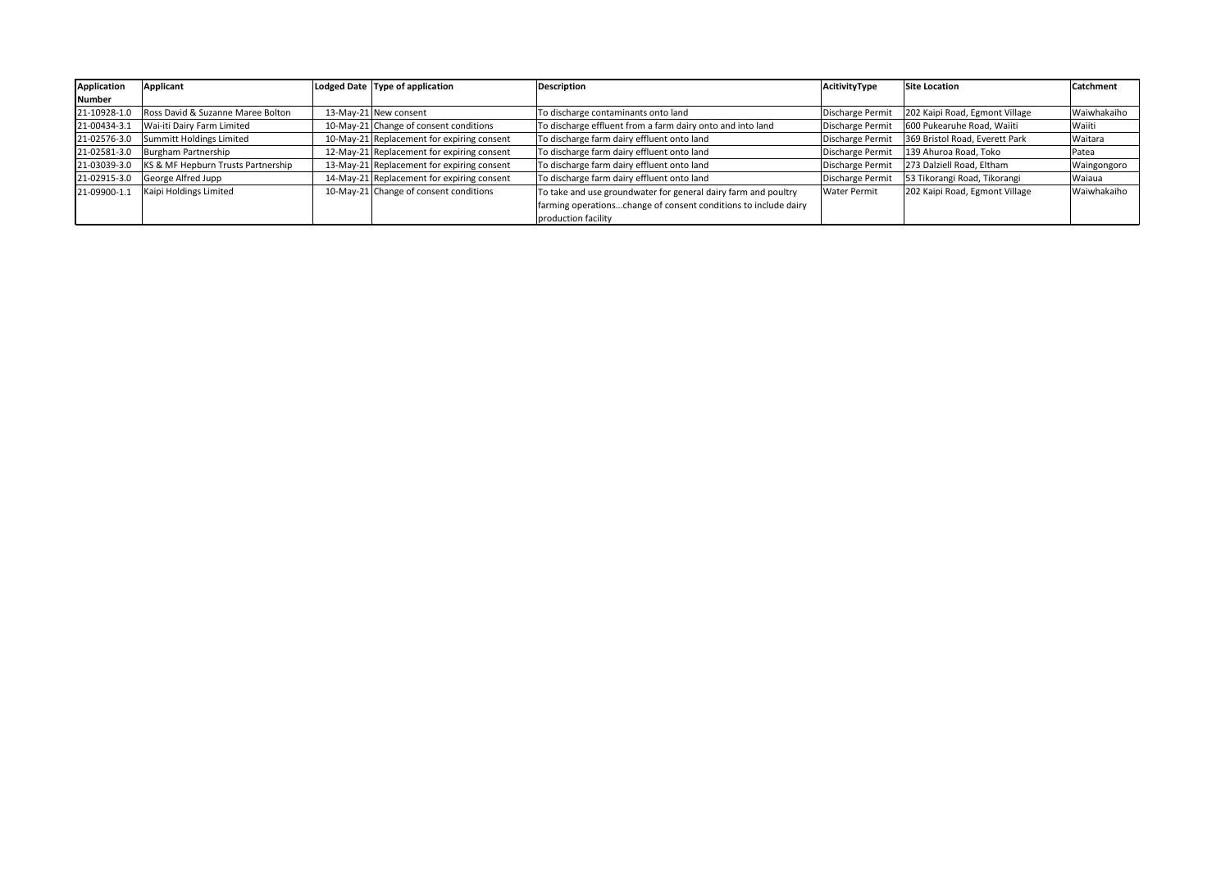| Application   | Applicant                          | Lodged Date Type of application            | <b>Description</b>                                              | AcitivityType       | Site Location                  | Catchment    |
|---------------|------------------------------------|--------------------------------------------|-----------------------------------------------------------------|---------------------|--------------------------------|--------------|
| <b>Number</b> |                                    |                                            |                                                                 |                     |                                |              |
| 21-10928-1.0  | Ross David & Suzanne Maree Bolton  | 13-May-21 New consent                      | To discharge contaminants onto land                             | Discharge Permit    | 202 Kaipi Road, Egmont Village | Waiwhakaiho  |
| 21-00434-3.1  | Wai-iti Dairy Farm Limited         | 10-May-21 Change of consent conditions     | To discharge effluent from a farm dairy onto and into land      | Discharge Permit    | 600 Pukearuhe Road, Waiiti     | Waiiti       |
| 21-02576-3.0  | Summitt Holdings Limited           | 10-May-21 Replacement for expiring consent | To discharge farm dairy effluent onto land                      | Discharge Permit    | 369 Bristol Road, Everett Park | Waitara      |
| 21-02581-3.0  | Burgham Partnership                | 12-May-21 Replacement for expiring consent | To discharge farm dairy effluent onto land                      | Discharge Permit    | 139 Ahuroa Road, Toko          | <b>Patea</b> |
| 21-03039-3.0  | KS & MF Hepburn Trusts Partnership | 13-May-21 Replacement for expiring consent | To discharge farm dairy effluent onto land                      | Discharge Permit    | 273 Dalziell Road, Eltham      | Waingongoro  |
| 21-02915-3.0  | George Alfred Jupp                 | 14-May-21 Replacement for expiring consent | To discharge farm dairy effluent onto land                      | Discharge Permit    | 53 Tikorangi Road, Tikorangi   | Waiaua       |
| 21-09900-1.1  | Kaipi Holdings Limited             | 10-May-21 Change of consent conditions     | To take and use groundwater for general dairy farm and poultry  | <b>Water Permit</b> | 202 Kaipi Road, Egmont Village | Waiwhakaiho  |
|               |                                    |                                            | farming operationschange of consent conditions to include dairy |                     |                                |              |
|               |                                    |                                            | production facility                                             |                     |                                |              |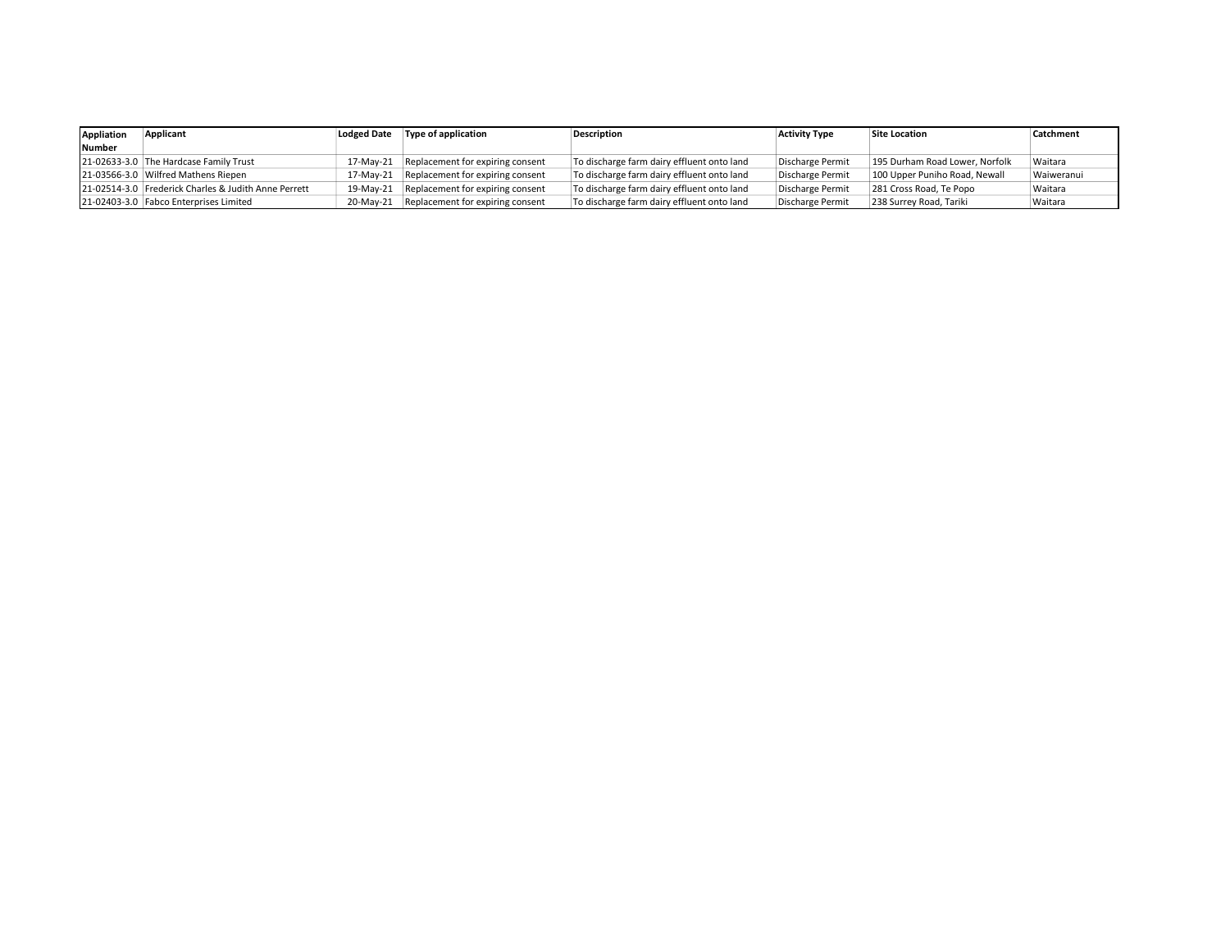| Appliation    | Applicant<br><b>Lodged Date</b>                      |           | Type of application                        | Description                                | <b>Activity Type</b> | <b>Site Location</b>           | Catchment  |
|---------------|------------------------------------------------------|-----------|--------------------------------------------|--------------------------------------------|----------------------|--------------------------------|------------|
| <b>Number</b> |                                                      |           |                                            |                                            |                      |                                |            |
|               | 21-02633-3.0 The Hardcase Family Trust               |           | 17-May-21 Replacement for expiring consent | To discharge farm dairy effluent onto land | Discharge Permit     | 195 Durham Road Lower, Norfolk | Waitara    |
|               | 21-03566-3.0 Wilfred Mathens Riepen                  | 17-Mav-21 | Replacement for expiring consent           | To discharge farm dairy effluent onto land | Discharge Permit     | 100 Upper Puniho Road, Newall  | Waiweranui |
|               | 21-02514-3.0 Frederick Charles & Judith Anne Perrett |           | 19-May-21 Replacement for expiring consent | To discharge farm dairy effluent onto land | Discharge Permit     | 281 Cross Road, Te Popo        | Waitara    |
|               | 21-02403-3.0 Fabco Enterprises Limited               | 20-May-21 | Replacement for expiring consent           | To discharge farm dairy effluent onto land | Discharge Permit     | 238 Surrey Road, Tariki        | Waitara    |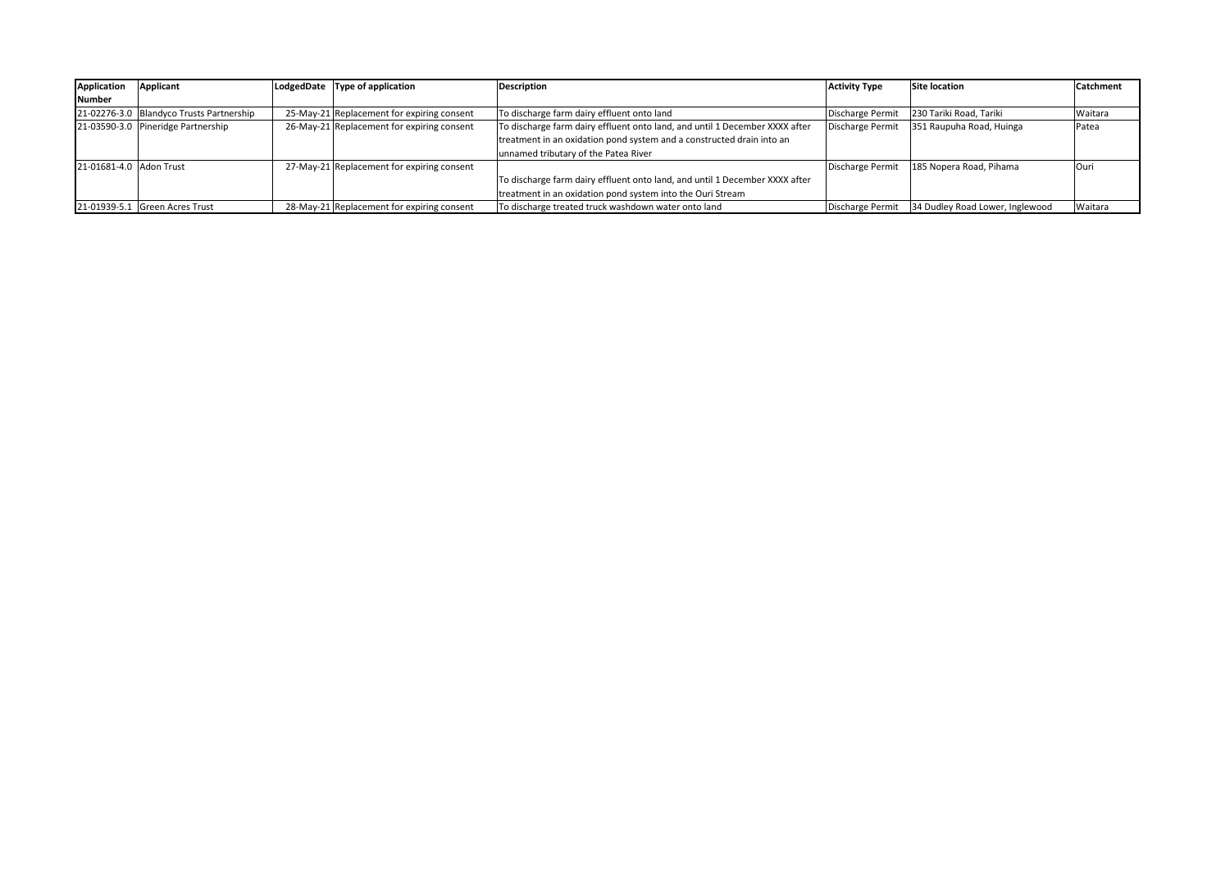| <b>Application</b>      | Applicant                                | LodgedDate Type of application             | <b>Description</b>                                                          | <b>Activity Type</b> | Site location                   | <b>Catchment</b> |
|-------------------------|------------------------------------------|--------------------------------------------|-----------------------------------------------------------------------------|----------------------|---------------------------------|------------------|
| <b>Number</b>           |                                          |                                            |                                                                             |                      |                                 |                  |
|                         | 21-02276-3.0 Blandyco Trusts Partnership | 25-May-21 Replacement for expiring consent | To discharge farm dairy effluent onto land                                  | Discharge Permit     | 230 Tariki Road, Tariki         | Waitara          |
|                         | 21-03590-3.0 Pineridge Partnership       | 26-May-21 Replacement for expiring consent | To discharge farm dairy effluent onto land, and until 1 December XXXX after | Discharge Permit     | 351 Raupuha Road, Huinga        | Patea            |
|                         |                                          |                                            | treatment in an oxidation pond system and a constructed drain into an       |                      |                                 |                  |
|                         |                                          |                                            | unnamed tributary of the Patea River                                        |                      |                                 |                  |
| 21-01681-4.0 Adon Trust |                                          | 27-May-21 Replacement for expiring consent |                                                                             | Discharge Permit     | 185 Nopera Road, Pihama         | lOuri            |
|                         |                                          |                                            | To discharge farm dairy effluent onto land, and until 1 December XXXX after |                      |                                 |                  |
|                         |                                          |                                            | treatment in an oxidation pond system into the Ouri Stream                  |                      |                                 |                  |
|                         | 21-01939-5.1 Green Acres Trust           | 28-May-21 Replacement for expiring consent | To discharge treated truck washdown water onto land                         | Discharge Permit     | 34 Dudley Road Lower, Inglewood | Waitara          |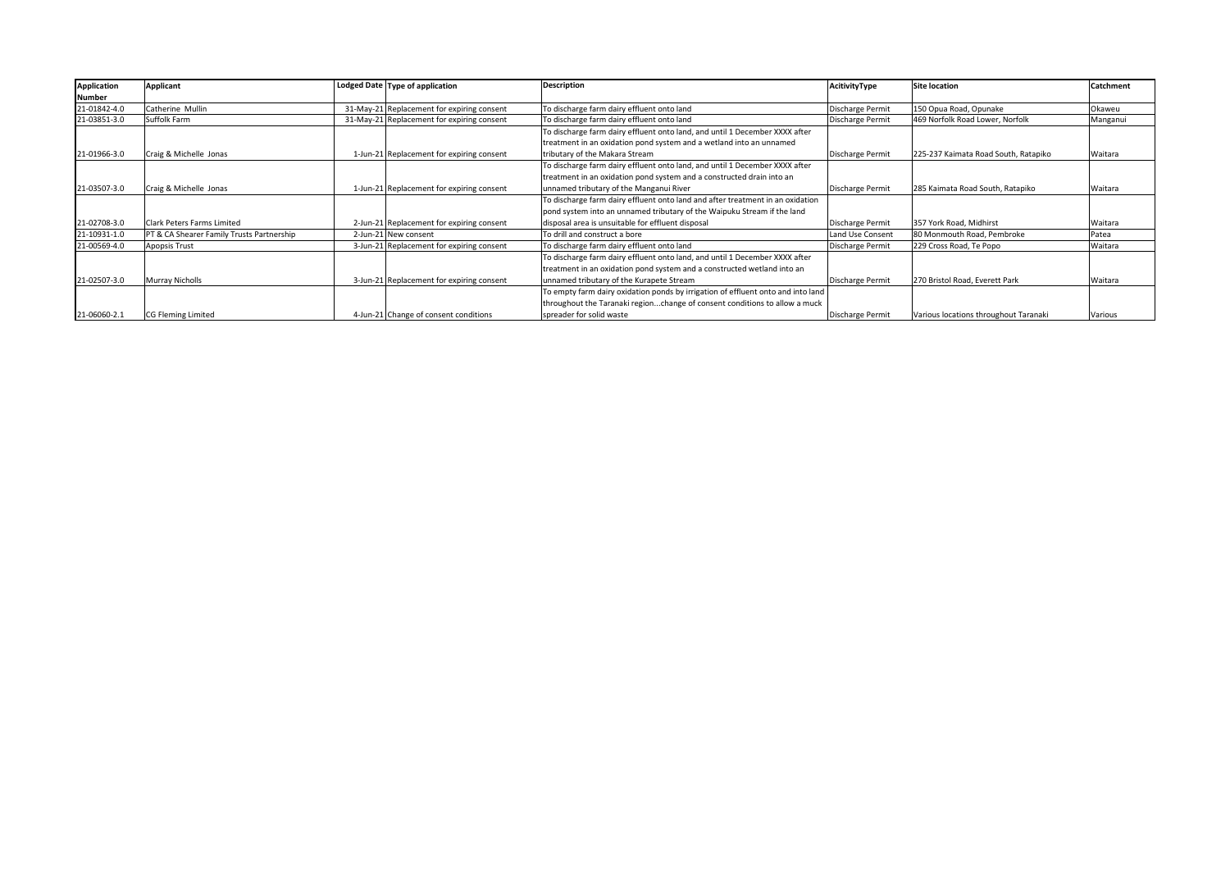| Application   | Applicant                                 | Lodged Date Type of application            | <b>Description</b>                                                               | AcitivityType           | <b>Site location</b>                  | Catchment |
|---------------|-------------------------------------------|--------------------------------------------|----------------------------------------------------------------------------------|-------------------------|---------------------------------------|-----------|
| <b>Number</b> |                                           |                                            |                                                                                  |                         |                                       |           |
| 21-01842-4.0  | Catherine Mullin                          | 31-May-21 Replacement for expiring consent | To discharge farm dairy effluent onto land                                       | Discharge Permit        | 150 Opua Road, Opunake                | Okaweu    |
| 21-03851-3.0  | Suffolk Farm                              | 31-May-21 Replacement for expiring consent | To discharge farm dairy effluent onto land                                       | Discharge Permit        | 469 Norfolk Road Lower, Norfolk       | Manganui  |
|               |                                           |                                            | To discharge farm dairy effluent onto land, and until 1 December XXXX after      |                         |                                       |           |
|               |                                           |                                            | treatment in an oxidation pond system and a wetland into an unnamed              |                         |                                       |           |
| 21-01966-3.0  | Craig & Michelle Jonas                    | 1-Jun-21 Replacement for expiring consent  | tributary of the Makara Stream                                                   | Discharge Permit        | 225-237 Kaimata Road South, Ratapiko  | Waitara   |
|               |                                           |                                            | To discharge farm dairy effluent onto land, and until 1 December XXXX after      |                         |                                       |           |
|               |                                           |                                            | treatment in an oxidation pond system and a constructed drain into an            |                         |                                       |           |
| 21-03507-3.0  | Craig & Michelle Jonas                    | 1-Jun-21 Replacement for expiring consent  | unnamed tributary of the Manganui River                                          | Discharge Permit        | 285 Kaimata Road South, Ratapiko      | Waitara   |
|               |                                           |                                            | To discharge farm dairy effluent onto land and after treatment in an oxidation   |                         |                                       |           |
|               |                                           |                                            | pond system into an unnamed tributary of the Waipuku Stream if the land          |                         |                                       |           |
| 21-02708-3.0  | l Clark Peters Farms Limited              | 2-Jun-21 Replacement for expiring consent  | disposal area is unsuitable for effluent disposal                                | Discharge Permit        | 357 York Road, Midhirst               | Waitara   |
| 21-10931-1.0  | PT & CA Shearer Family Trusts Partnership | 2-Jun-21 New consent                       | To drill and construct a bore                                                    | Land Use Consent        | 80 Monmouth Road. Pembroke            | Patea     |
| 21-00569-4.0  | Apopsis Trust                             | 3-Jun-21 Replacement for expiring consent  | To discharge farm dairy effluent onto land                                       | <b>Discharge Permit</b> | 229 Cross Road, Te Popo               | Waitara   |
|               |                                           |                                            | To discharge farm dairy effluent onto land, and until 1 December XXXX after      |                         |                                       |           |
|               |                                           |                                            | treatment in an oxidation pond system and a constructed wetland into an          |                         |                                       |           |
| 21-02507-3.0  | Murray Nicholls                           | 3-Jun-21 Replacement for expiring consent  | unnamed tributary of the Kurapete Stream                                         | Discharge Permit        | 270 Bristol Road. Everett Park        | Waitara   |
|               |                                           |                                            | To empty farm dairy oxidation ponds by irrigation of effluent onto and into land |                         |                                       |           |
|               |                                           |                                            | throughout the Taranaki regionchange of consent conditions to allow a muck       |                         |                                       |           |
| 21-06060-2.1  | CG Fleming Limited                        | 4-Jun-21 Change of consent conditions      | spreader for solid waste                                                         | Discharge Permit        | Various locations throughout Taranaki | Various   |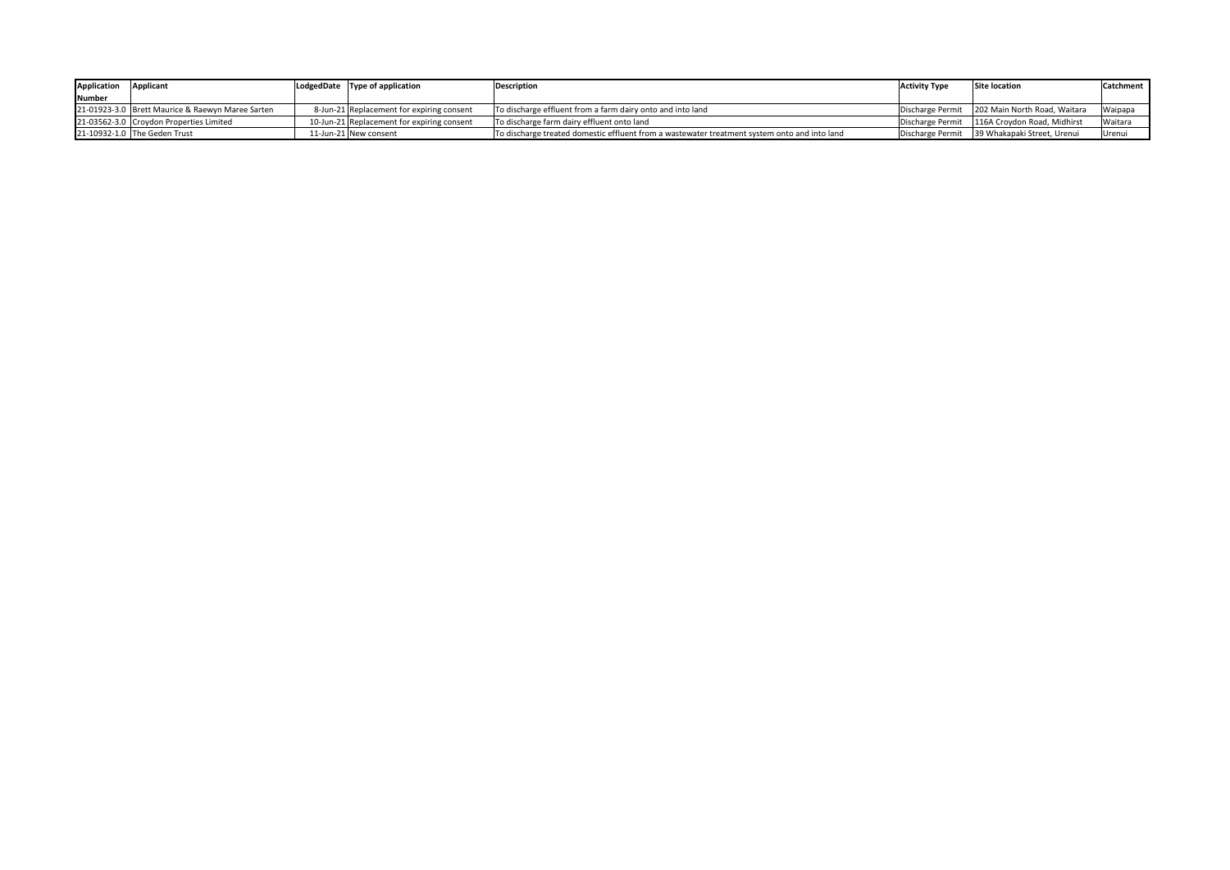| Application   | Applicant                                        | LodgedDate Type of application             | Description                                                                                  | <b>Activity Type</b> | <b>Site location</b>                            | Catchment |
|---------------|--------------------------------------------------|--------------------------------------------|----------------------------------------------------------------------------------------------|----------------------|-------------------------------------------------|-----------|
| <b>Number</b> |                                                  |                                            |                                                                                              |                      |                                                 |           |
|               | 21-01923-3.0 Brett Maurice & Raewyn Maree Sarten | 8-Jun-21 Replacement for expiring consent  | To discharge effluent from a farm dairy onto and into land                                   |                      | Discharge Permit   202 Main North Road, Waitara | Waipapa   |
|               | 21-03562-3.0 Croydon Properties Limited          | 10-Jun-21 Replacement for expiring consent | To discharge farm dairy effluent onto land                                                   |                      | Discharge Permit   116A Croydon Road, Midhirst  | Waitara   |
|               | 21-10932-1.0 The Geden Trust                     | 11-Jun-21 New consent                      | To discharge treated domestic effluent from a wastewater treatment system onto and into land |                      | Discharge Permit   39 Whakapaki Street, Urenui  | Urenui    |